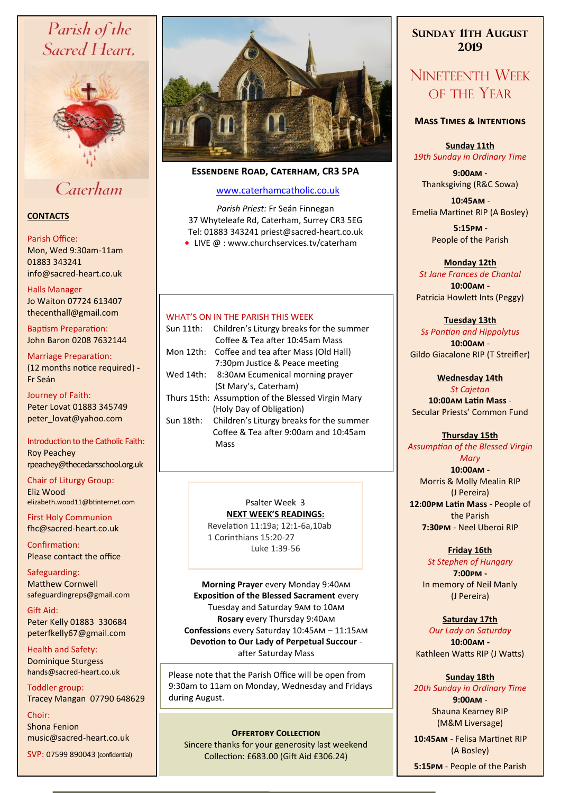# Parish of the Sacred Heart,



## Caterham

#### **CONTACTS**

#### Parish Office:

Mon, Wed 9:30am-11am 01883 343241 info@sacred-heart.co.uk .

#### Halls Manager

Jo Waiton 07724 613407 thecenthall@gmail.com

Baptism Preparation: John Baron 0208 7632144

### Marriage Preparation:

(12 months notice required) **-** Fr Seán

Journey of Faith: Peter Lovat 01883 345749 peter\_lovat@yahoo.com

#### Introduction to the Catholic Faith: Roy Peachey rpeachey@thecedarsschool.org.uk

Chair of Liturgy Group: Eliz Wood elizabeth.wood11@btinternet.com

First Holy Communion fhc@sacred-heart.co.uk

Confirmation: Please contact the office

Safeguarding: Matthew Cornwell safeguardingreps@gmail.com

Gift Aid: Peter Kelly 01883 330684 peterfkelly67@gmail.com

Health and Safety: Dominique Sturgess hands@sacred-heart.co.uk

Toddler group: Tracey Mangan 07790 648629

Choir: Shona Fenion music@sacred-heart.co.uk

SVP: 07599 890043 (confidential)



### **Essendene Road, Caterham, CR3 5PA**

#### [www.caterhamcatholic.co.uk](http://Www.caterhamcatholic.co.uk)

*Parish Priest:* Fr Seán Finnegan 37 Whyteleafe Rd, Caterham, Surrey CR3 5EG Tel: 01883 343241 priest@sacred-heart.co.uk ● LIVE @ : www.churchservices.tv/caterham

#### WHAT'S ON IN THE PARISH THIS WEEK.

| Sun 11th: | Children's Liturgy breaks for the summer          |
|-----------|---------------------------------------------------|
|           | Coffee & Tea after 10:45am Mass                   |
| Mon 12th: | Coffee and tea after Mass (Old Hall)              |
|           | 7:30pm Justice & Peace meeting                    |
|           | Wed 14th: 8:30AM Ecumenical morning prayer        |
|           | (St Mary's, Caterham)                             |
|           | Thurs 15th: Assumption of the Blessed Virgin Mary |
|           | (Holy Day of Obligation)                          |
| Sun 18th: | Children's Liturgy breaks for the summer          |
|           | Coffee & Tea after 9:00am and 10:45am             |
|           | Mass                                              |
|           |                                                   |

Psalter Week 3 **NEXT WEEK'S READINGS:** 

Revelation 11:19a; 12:1-6a,10ab 1 Corinthians 15:20-27 Luke 1:39-56

**Morning Prayer** every Monday 9:40am **Exposition of the Blessed Sacrament** every Tuesday and Saturday 9am to 10am **Rosary** every Thursday 9:40am **Confession**s every Saturday 10:45am – 11:15am **Devotion to Our Lady of Perpetual Succour**  after Saturday Mass

Please note that the Parish Office will be open from 9:30am to 11am on Monday, Wednesday and Fridays during August.

#### **OFFERTORY COLLECTION**

Sincere thanks for your generosity last weekend Collection: £683.00 (Gift Aid £306.24)

### **SUNDAY 11TH AUGUST 2019**

# NINETEENTH WEEK OF THE YEAR

#### **Mass Times & Intentions**

**Sunday 11th** *19th Sunday in Ordinary Time*

**9:00am** - Thanksgiving (R&C Sowa)

.**10:45am** - Emelia Martinet RIP (A Bosley)

> .**5:15pm** - People of the Parish

#### **Monday 12th**

*St Jane Frances de Chantal* **10:00am -**  Patricia Howlett Ints (Peggy)

#### **Tuesday 13th**

*Ss Pontian and Hippolytus* **10:00am** - Gildo Giacalone RIP (T Streifler)

#### **Wednesday 14th**

*St Cajetan* **10:00am Latin Mass** - Secular Priests' Common Fund

#### **Thursday 15th** *Assumption of the Blessed Virgin*

*Mary* **10:00am -**  Morris & Molly Mealin RIP (J Pereira) **12:00pm Latin Mass** - People of the Parish **7:30pm** - Neel Uberoi RIP

**Friday 16th**

*St Stephen of Hungary* **7:00pm -** In memory of Neil Manly (J Pereira)

#### **Saturday 17th**

*Our Lady on Saturday* **10:00am -**  Kathleen Watts RIP (J Watts)

#### **Sunday 18th** *20th Sunday in Ordinary Time*

**9:00am** - Shauna Kearney RIP (M&M Liversage)

.**10:45am** - Felisa Martinet RIP (A Bosley)

.**5:15pm** - People of the Parish